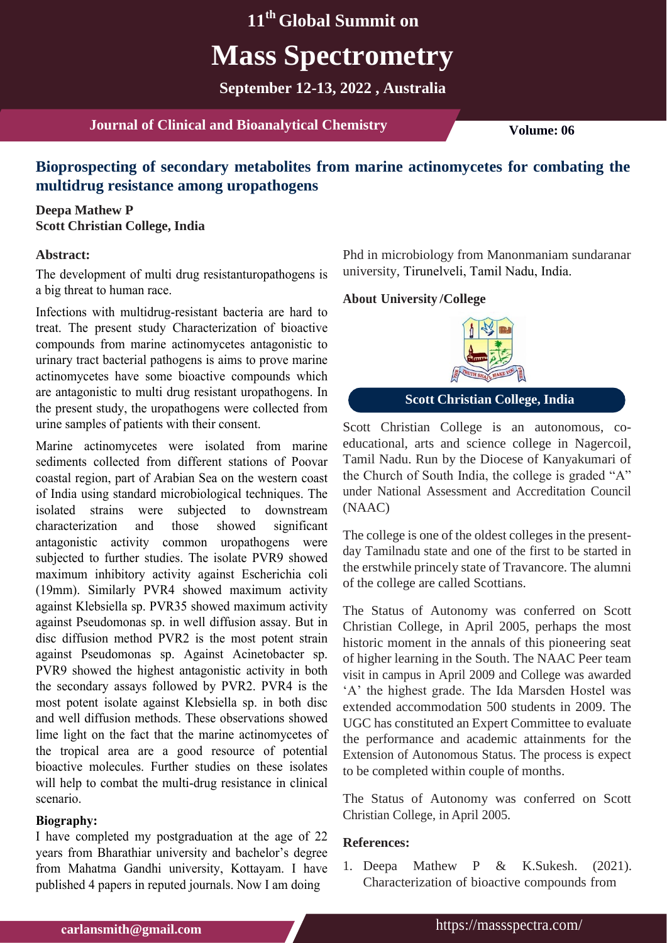# **11th Global Summit on Mass Spectrometry**

**September 12-13, 2022 , Australia**

**Journal of Clinical and Bioanalytical Chemistry <b>Volume:** 06

# **Bioprospecting of secondary metabolites from marine actinomycetes for combating the multidrug resistance among uropathogens**

### **Deepa Mathew P Scott Christian College, India**

#### **Abstract:**

The development of multi drug resistanturopathogens is a big threat to human race.

Infections with multidrug-resistant bacteria are hard to treat. The present study Characterization of bioactive compounds from marine actinomycetes antagonistic to urinary tract bacterial pathogens is aims to prove marine actinomycetes have some bioactive compounds which are antagonistic to multi drug resistant uropathogens. In the present study, the uropathogens were collected from urine samples of patients with their consent.

Marine actinomycetes were isolated from marine sediments collected from different stations of Poovar coastal region, part of Arabian Sea on the western coast of India using standard microbiological techniques. The isolated strains were subjected to downstream characterization and those showed significant antagonistic activity common uropathogens were subjected to further studies. The isolate PVR9 showed maximum inhibitory activity against Escherichia coli (19mm). Similarly PVR4 showed maximum activity against Klebsiella sp. PVR35 showed maximum activity against Pseudomonas sp. in well diffusion assay. But in disc diffusion method PVR2 is the most potent strain against Pseudomonas sp. Against Acinetobacter sp. PVR9 showed the highest antagonistic activity in both the secondary assays followed by PVR2. PVR4 is the most potent isolate against Klebsiella sp. in both disc and well diffusion methods. These observations showed lime light on the fact that the marine actinomycetes of the tropical area are a good resource of potential bioactive molecules. Further studies on these isolates will help to combat the multi-drug resistance in clinical scenario.

#### **Biography:**

I have completed my postgraduation at the age of 22 years from Bharathiar university and bachelor's degree from Mahatma Gandhi university, Kottayam. I have published 4 papers in reputed journals. Now I am doing

Phd in microbiology from Manonmaniam sundaranar university, Tirunelveli, Tamil Nadu, India.

#### **/College About University**



**Scott Christian College, India**

Scott Christian College is an autonomous, coeducational, arts and science college in Nagercoil, Tamil Nadu. Run by the Diocese of Kanyakumari of the Church of South India, the college is graded "A" under National Assessment and Accreditation Council (NAAC)

The college is one of the oldest colleges in the presentday Tamilnadu state and one of the first to be started in the erstwhile princely state of Travancore. The alumni of the college are called Scottians.

The Status of Autonomy was conferred on Scott Christian College, in April 2005, perhaps the most historic moment in the annals of this pioneering seat of higher learning in the South. The NAAC Peer team visit in campus in April 2009 and College was awarded 'A' the highest grade. The Ida Marsden Hostel was extended accommodation 500 students in 2009. The UGC has constituted an Expert Committee to evaluate the performance and academic attainments for the Extension of Autonomous Status. The process is expect to be completed within couple of months.

The Status of Autonomy was conferred on Scott Christian College, in April 2005.

#### **References:**

1. [Deepa Mathew P & K.Sukesh. \(2021\).](https://www.ikprress.org/index.php/JOBARI/article/view/6843) [Characterization of bioactive compounds from](https://www.ikprress.org/index.php/JOBARI/article/view/6843)